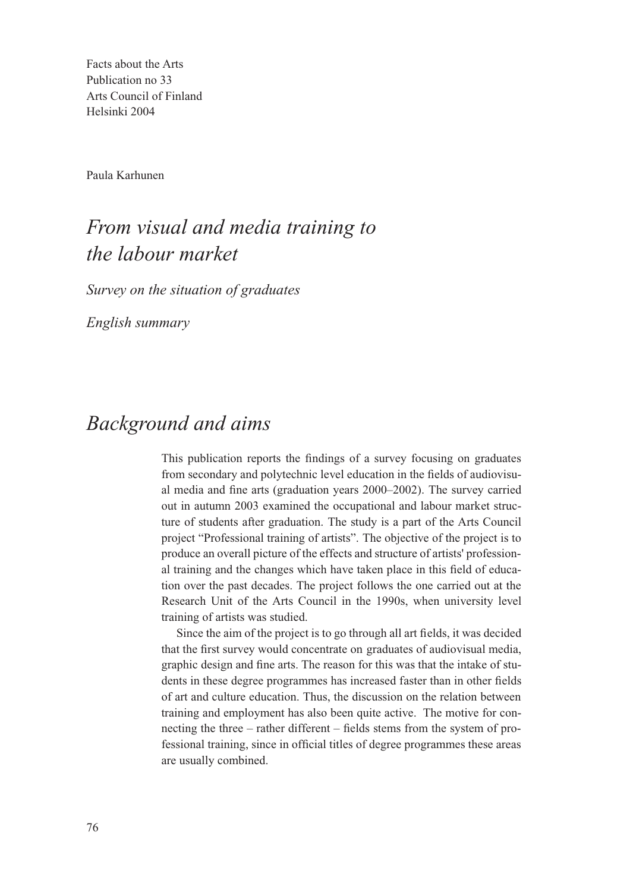Facts about the Arts Publication no 33 Arts Council of Finland Helsinki 2004

Paula Karhunen

# *From visual and media training to the labour market*

*Survey on the situation of graduates* 

*English summary*

## *Background and aims*

This publication reports the findings of a survey focusing on graduates from secondary and polytechnic level education in the fields of audiovisual media and fine arts (graduation years 2000–2002). The survey carried out in autumn 2003 examined the occupational and labour market structure of students after graduation. The study is a part of the Arts Council project "Professional training of artists". The objective of the project is to produce an overall picture of the effects and structure of artists' professional training and the changes which have taken place in this field of education over the past decades. The project follows the one carried out at the Research Unit of the Arts Council in the 1990s, when university level training of artists was studied.

Since the aim of the project is to go through all art fields, it was decided that the first survey would concentrate on graduates of audiovisual media, graphic design and fine arts. The reason for this was that the intake of students in these degree programmes has increased faster than in other fields of art and culture education. Thus, the discussion on the relation between training and employment has also been quite active. The motive for connecting the three – rather different – fields stems from the system of professional training, since in official titles of degree programmes these areas are usually combined.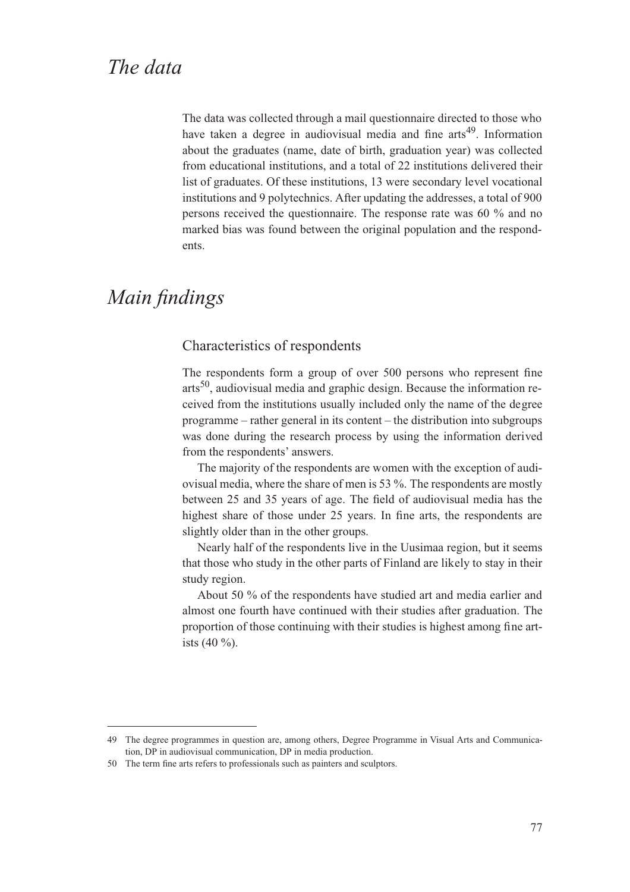The data was collected through a mail questionnaire directed to those who have taken a degree in audiovisual media and fine  $arcs<sup>49</sup>$ . Information about the graduates (name, date of birth, graduation year) was collected from educational institutions, and a total of 22 institutions delivered their list of graduates. Of these institutions, 13 were secondary level vocational institutions and 9 polytechnics. After updating the addresses, a total of 900 persons received the questionnaire. The response rate was 60 % and no marked bias was found between the original population and the respondents.

## *Main findings*

#### Characteristics of respondents

The respondents form a group of over 500 persons who represent fine  $arts<sup>50</sup>$ , audiovisual media and graphic design. Because the information received from the institutions usually included only the name of the degree programme – rather general in its content – the distribution into subgroups was done during the research process by using the information derived from the respondents' answers.

The majority of the respondents are women with the exception of audiovisual media, where the share of men is 53 %. The respondents are mostly between 25 and 35 years of age. The field of audiovisual media has the highest share of those under 25 years. In fine arts, the respondents are slightly older than in the other groups.

Nearly half of the respondents live in the Uusimaa region, but it seems that those who study in the other parts of Finland are likely to stay in their study region.

About 50 % of the respondents have studied art and media earlier and almost one fourth have continued with their studies after graduation. The proportion of those continuing with their studies is highest among fine artists (40 %).

<sup>49</sup> The degree programmes in question are, among others, Degree Programme in Visual Arts and Communication, DP in audiovisual communication, DP in media production.

<sup>50</sup> The term fine arts refers to professionals such as painters and sculptors.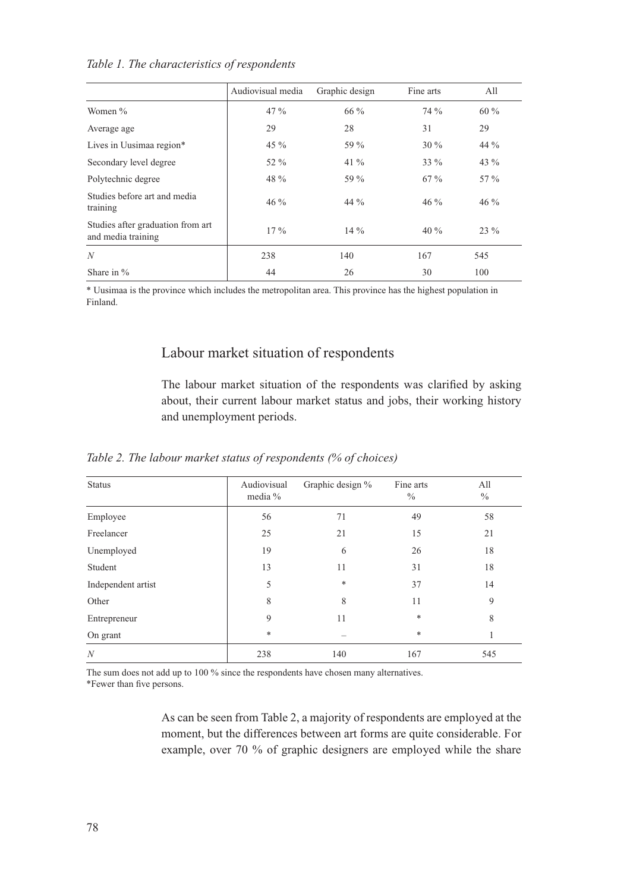|                                                         | Audiovisual media | Graphic design | Fine arts | A11     |
|---------------------------------------------------------|-------------------|----------------|-----------|---------|
| Women %                                                 | $47\%$            | 66 $\%$        | $74\%$    | $60\%$  |
| Average age                                             | 29                | 28             | 31        | 29      |
| Lives in Uusimaa region*                                | 45 $\%$           | 59 %           | $30\%$    | 44 $\%$ |
| Secondary level degree                                  | 52 %              | 41 $%$         | $33\%$    | 43 $%$  |
| Polytechnic degree                                      | 48 %              | 59 %           | $67\%$    | $57\%$  |
| Studies before art and media<br>training                | $46\%$            | 44 $\%$        | $46\%$    | $46\%$  |
| Studies after graduation from art<br>and media training | $17\%$            | $14\%$         | $40\%$    | $23\%$  |
| N                                                       | 238               | 140            | 167       | 545     |
| Share in $\%$                                           | 44                | 26             | 30        | 100     |

*Table 1. The characteristics of respondents*

\* Uusimaa is the province which includes the metropolitan area. This province has the highest population in Finland.

### Labour market situation of respondents

The labour market situation of the respondents was clarified by asking about, their current labour market status and jobs, their working history and unemployment periods.

| <b>Status</b>      | Audiovisual<br>media % | Graphic design % | Fine arts<br>$\frac{0}{0}$ | All<br>$\frac{0}{0}$ |
|--------------------|------------------------|------------------|----------------------------|----------------------|
| Employee           | 56                     | 71               | 49                         | 58                   |
| Freelancer         | 25                     | 21               | 15                         | 21                   |
| Unemployed         | 19                     | 6                | 26                         | 18                   |
| Student            | 13                     | 11               | 31                         | 18                   |
| Independent artist | 5                      | $\ast$           | 37                         | 14                   |
| Other              | 8                      | 8                | 11                         | 9                    |
| Entrepreneur       | 9                      | 11               | *                          | 8                    |
| On grant           | $\ast$                 |                  | *                          |                      |
| N                  | 238                    | 140              | 167                        | 545                  |

*Table 2. The labour market status of respondents (% of choices)*

The sum does not add up to 100 % since the respondents have chosen many alternatives. \*Fewer than five persons.

> As can be seen from Table 2, a majority of respondents are employed at the moment, but the differences between art forms are quite considerable. For example, over 70 % of graphic designers are employed while the share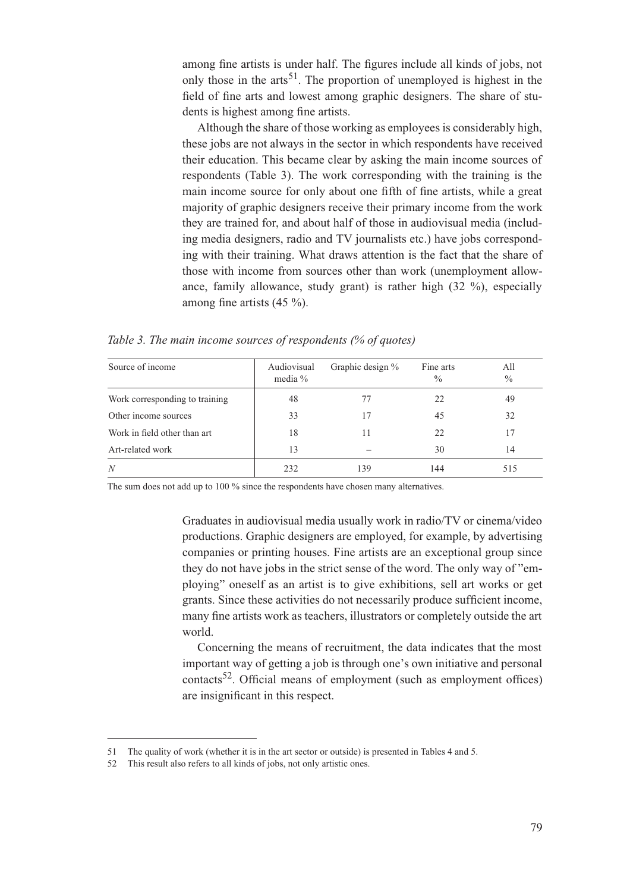among fine artists is under half. The figures include all kinds of jobs, not only those in the arts<sup>51</sup>. The proportion of unemployed is highest in the field of fine arts and lowest among graphic designers. The share of students is highest among fine artists.

Although the share of those working as employees is considerably high, these jobs are not always in the sector in which respondents have received their education. This became clear by asking the main income sources of respondents (Table 3). The work corresponding with the training is the main income source for only about one fifth of fine artists, while a great majority of graphic designers receive their primary income from the work they are trained for, and about half of those in audiovisual media (including media designers, radio and TV journalists etc.) have jobs corresponding with their training. What draws attention is the fact that the share of those with income from sources other than work (unemployment allowance, family allowance, study grant) is rather high (32 %), especially among fine artists (45 %).

*Table 3. The main income sources of respondents (% of quotes)*

| Source of income               | Audiovisual<br>media $%$ | Graphic design % | Fine arts<br>$\frac{0}{0}$ | All<br>$\frac{0}{0}$ |
|--------------------------------|--------------------------|------------------|----------------------------|----------------------|
| Work corresponding to training | 48                       | 77               | 22                         | 49                   |
| Other income sources           | 33                       | 17               | 45                         | 32                   |
| Work in field other than art   | 18                       | 11               | 22                         | 17                   |
| Art-related work               | 13                       |                  | 30                         | 14                   |
| N                              | 232                      | 139              | 144                        | 515                  |

The sum does not add up to 100 % since the respondents have chosen many alternatives.

Graduates in audiovisual media usually work in radio/TV or cinema/video productions. Graphic designers are employed, for example, by advertising companies or printing houses. Fine artists are an exceptional group since they do not have jobs in the strict sense of the word. The only way of "employing" oneself as an artist is to give exhibitions, sell art works or get grants. Since these activities do not necessarily produce sufficient income, many fine artists work as teachers, illustrators or completely outside the art world.

Concerning the means of recruitment, the data indicates that the most important way of getting a job is through one's own initiative and personal contacts<sup>52</sup>. Official means of employment (such as employment offices) are insignificant in this respect.

<sup>51</sup> The quality of work (whether it is in the art sector or outside) is presented in Tables 4 and 5.

<sup>52</sup> This result also refers to all kinds of jobs, not only artistic ones.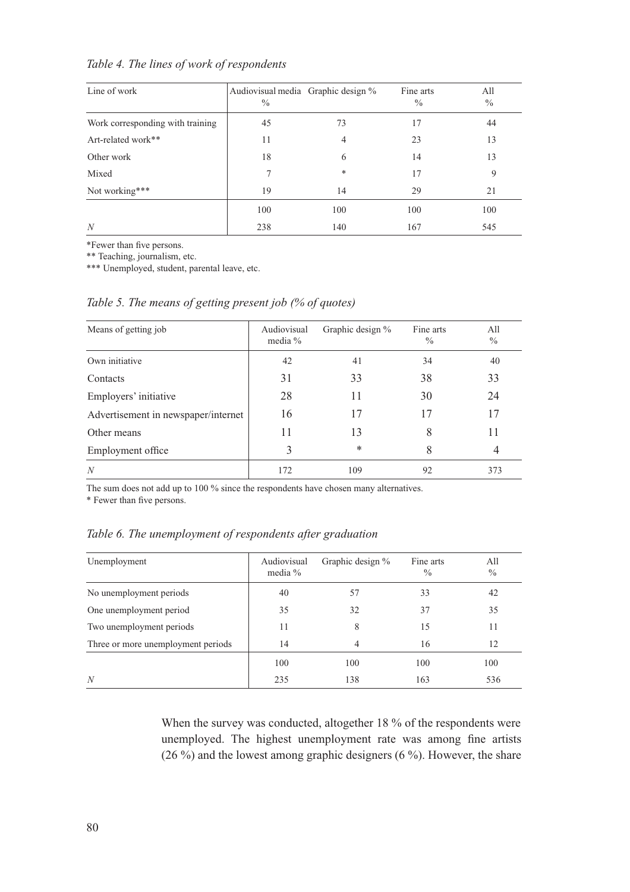*Table 4. The lines of work of respondents*

| Line of work                     | Audiovisual media Graphic design %<br>$\%$ |     | Fine arts<br>$\frac{0}{0}$ | All<br>$\frac{0}{0}$ |
|----------------------------------|--------------------------------------------|-----|----------------------------|----------------------|
| Work corresponding with training | 45                                         | 73  | 17                         | 44                   |
| Art-related work**               | 11                                         | 4   | 23                         | 13                   |
| Other work                       | 18                                         | 6   | 14                         | 13                   |
| Mixed                            |                                            | ∗   | 17                         | 9                    |
| Not working***                   | 19                                         | 14  | 29                         | 21                   |
|                                  | 100                                        | 100 | 100                        | 100                  |
| N                                | 238                                        | 140 | 167                        | 545                  |

\*Fewer than five persons.

\*\* Teaching, journalism, etc.

\*\*\* Unemployed, student, parental leave, etc.

*Table 5. The means of getting present job (% of quotes)*

| Means of getting job                | Audiovisual<br>media $%$ | Graphic design % | Fine arts<br>$\frac{0}{0}$ | All<br>$\frac{0}{0}$ |
|-------------------------------------|--------------------------|------------------|----------------------------|----------------------|
| Own initiative                      | 42                       | 41               | 34                         | 40                   |
| Contacts                            | 31                       | 33               | 38                         | 33                   |
| Employers' initiative               | 28                       | 11               | 30                         | 24                   |
| Advertisement in newspaper/internet | 16                       | 17               | 17                         | 17                   |
| Other means                         | 11                       | 13               | 8                          | 11                   |
| Employment office                   | 3                        | $\ast$           | 8                          | 4                    |
| N                                   | 172                      | 109              | 92                         | 373                  |

The sum does not add up to 100 % since the respondents have chosen many alternatives.

\* Fewer than five persons.

*Table 6. The unemployment of respondents after graduation* 

| Unemployment                       | Audiovisual<br>media $%$ | Graphic design % | Fine arts<br>$\frac{0}{0}$ | All<br>$\%$ |
|------------------------------------|--------------------------|------------------|----------------------------|-------------|
| No unemployment periods            | 40                       | 57               | 33                         | 42          |
| One unemployment period            | 35                       | 32               | 37                         | 35          |
| Two unemployment periods           | 11                       | 8                | 15                         | 11          |
| Three or more unemployment periods | 14                       | 4                | 16                         | 12          |
|                                    | 100                      | 100              | 100                        | 100         |
| N                                  | 235                      | 138              | 163                        | 536         |

When the survey was conducted, altogether 18 % of the respondents were unemployed. The highest unemployment rate was among fine artists (26 %) and the lowest among graphic designers (6 %). However, the share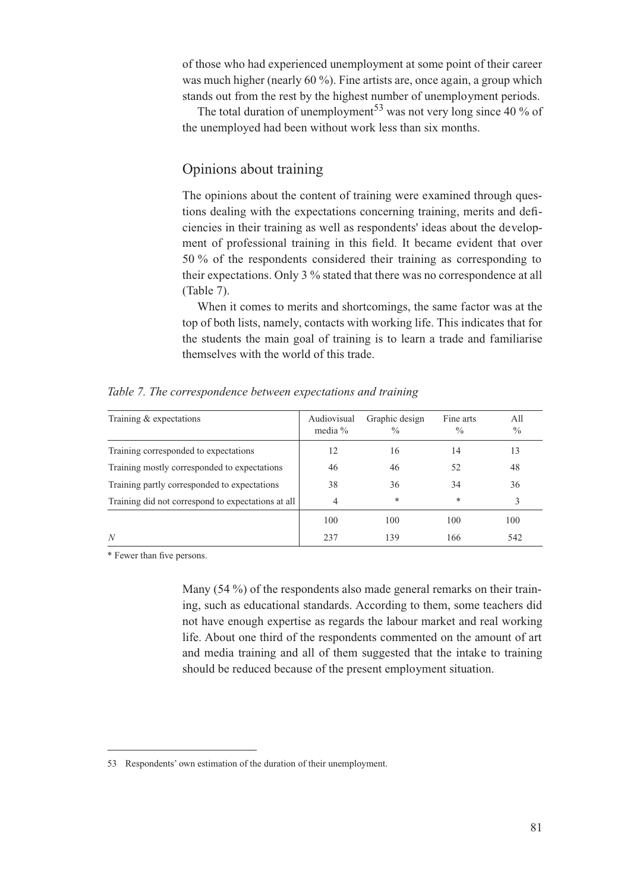of those who had experienced unemployment at some point of their career was much higher (nearly 60 %). Fine artists are, once again, a group which stands out from the rest by the highest number of unemployment periods.

The total duration of unemployment<sup>53</sup> was not very long since 40 % of the unemployed had been without work less than six months.

#### Opinions about training

The opinions about the content of training were examined through questions dealing with the expectations concerning training, merits and deficiencies in their training as well as respondents' ideas about the development of professional training in this field. It became evident that over 50 % of the respondents considered their training as corresponding to their expectations. Only 3 % stated that there was no correspondence at all (Table 7).

When it comes to merits and shortcomings, the same factor was at the top of both lists, namely, contacts with working life. This indicates that for the students the main goal of training is to learn a trade and familiarise themselves with the world of this trade.

| Training $&$ expectations                          | Audiovisual<br>media $%$ | Graphic design<br>$\frac{0}{0}$ | Fine arts<br>$\frac{0}{0}$ | All<br>$\frac{0}{0}$ |
|----------------------------------------------------|--------------------------|---------------------------------|----------------------------|----------------------|
| Training corresponded to expectations              | 12                       | 16                              | 14                         | 13                   |
| Training mostly corresponded to expectations       | 46                       | 46                              | 52                         | 48                   |
| Training partly corresponded to expectations       | 38                       | 36                              | 34                         | 36                   |
| Training did not correspond to expectations at all | $\overline{4}$           | *                               | $\ast$                     | 3                    |
|                                                    | 100                      | 100                             | 100                        | 100                  |
| N                                                  | 237                      | 139                             | 166                        | 542                  |

*Table 7. The correspondence between expectations and training*

\* Fewer than five persons.

Many (54 %) of the respondents also made general remarks on their training, such as educational standards. According to them, some teachers did not have enough expertise as regards the labour market and real working life. About one third of the respondents commented on the amount of art and media training and all of them suggested that the intake to training should be reduced because of the present employment situation.

<sup>53</sup> Respondents' own estimation of the duration of their unemployment.